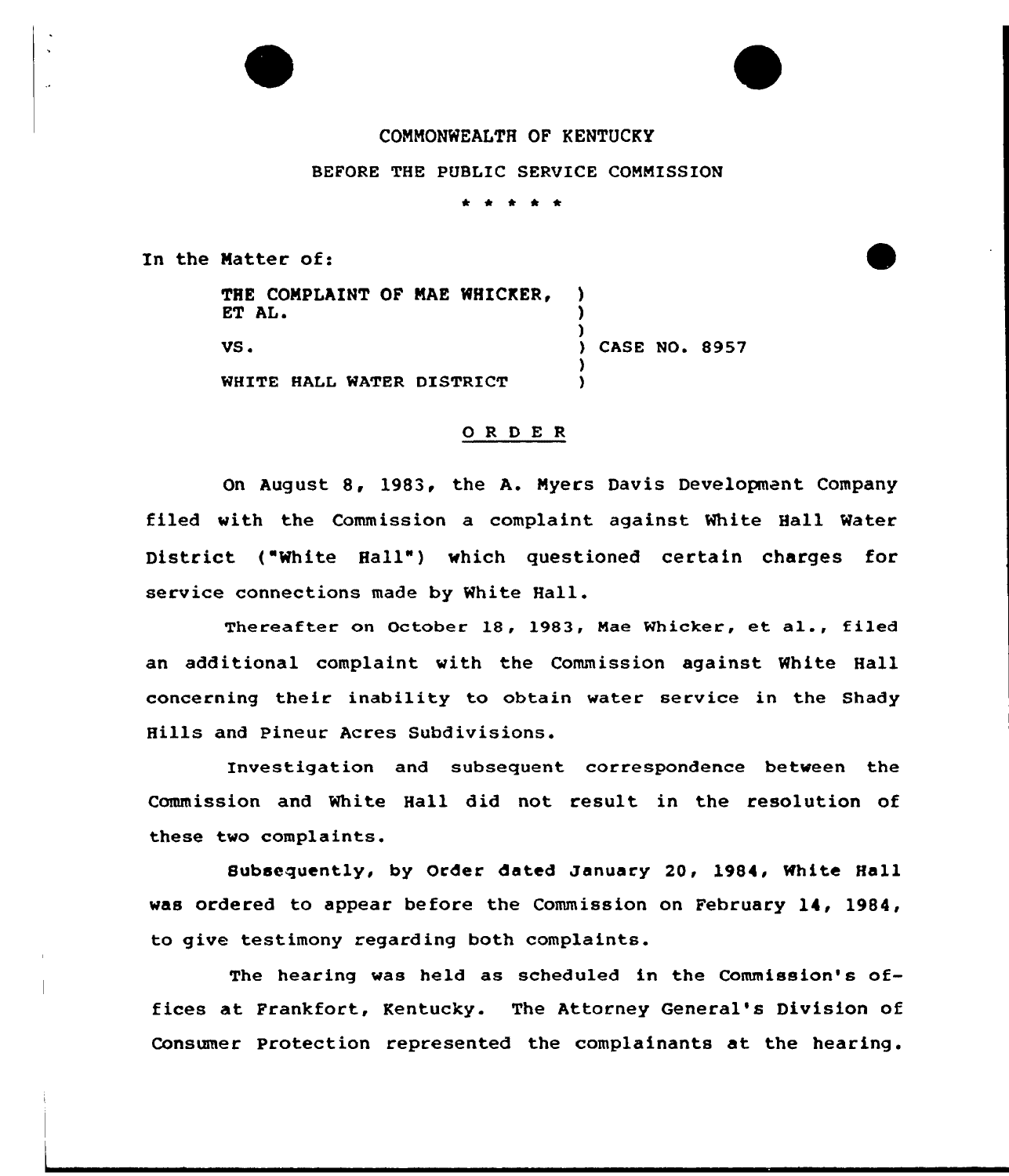

BEPORE THE PUBLIC SERVICE COMMISSION

\* \* \*

In the Matter of:

THE COMPLAINT OF MAE WHICKER, ) ET AL. ) ) VS. **CASE NO. 8957** ) WHITE HALL WATER DISTRICT )

### ORDER

On August 8, 1983, the A. Myers Davis Development Company filed with the Commission a complaint against White Hall Water District ("White Hall") which questioned certain charges for service connections made by White Hall.

Thereafter on October I8, 1983, Mae Whicker, et al., filed an additional complaint with the Commission against White Hall concerning their inability to obtain water service in the Shady Hills and Pineur Acres Subdivisions.

Investigation and subsequent correspondence between the Commission and White Hall did not result in the resolution of these two complaints.

Subsequently, by Order dated January 20, 1984, White Hall was ordered to appear before the Commission on February 14, 1984, to give testimony regarding both complaints.

The hearing was held as scheduled in the Commission's offices at Frankfort, Kentucky. The Attorney General's Division of Consumer Protection represented the complainants at the hearing.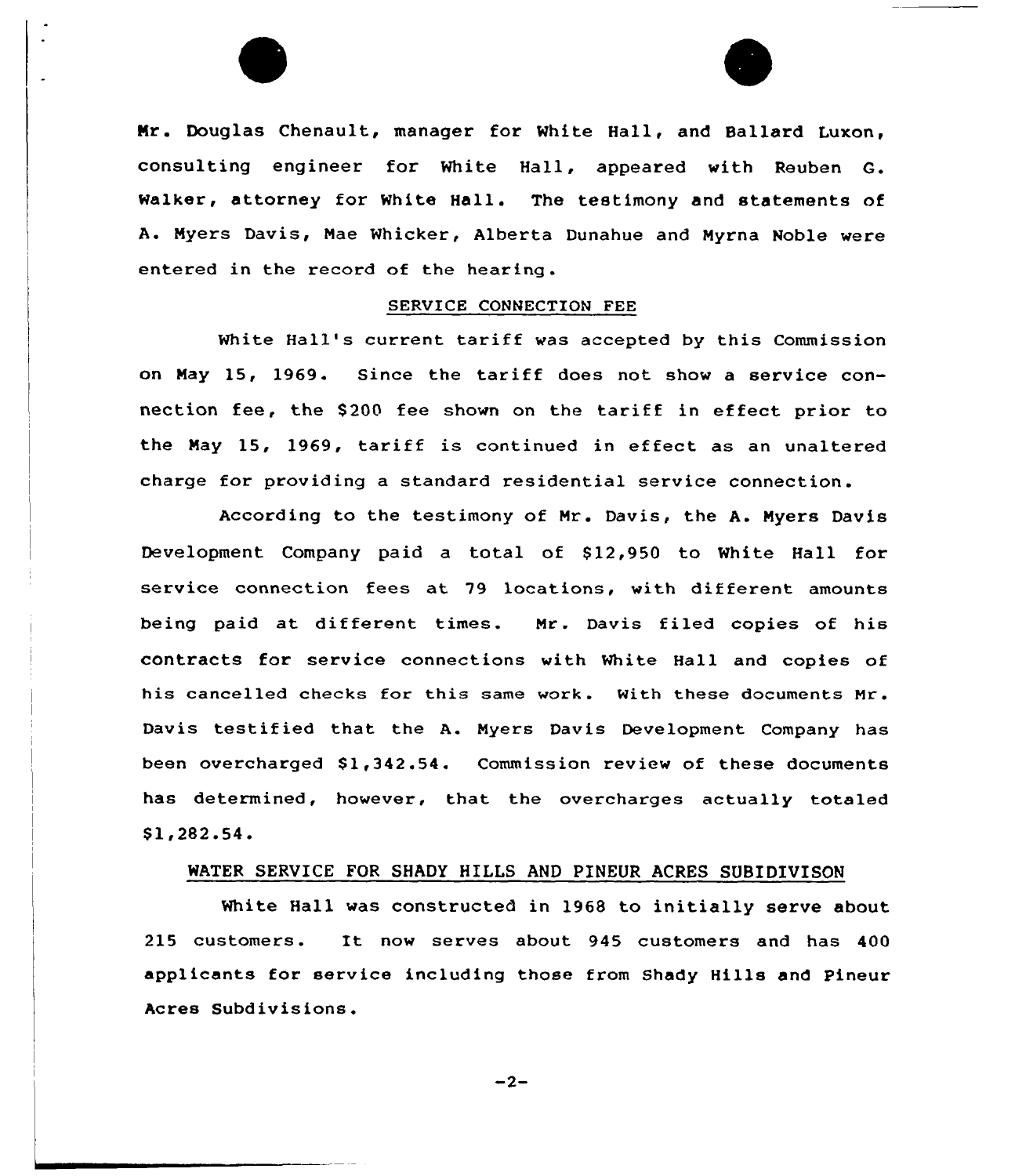

#### SERUICE CONNECTION FEE

White Hall's current tariff was accepted by this Commission on May 15, 1969. Since the tariff does not show <sup>a</sup> service connection fee, the \$200 fee shown on the tariff in effect prior to the May 15, 1969, tariff is continued in effect as an unaltered charge for providing a standard residential service connection.

According to the testimony of Mr . Davis, the A. Myers Davis Development Company paid a total of 912,950 to White Hall for service connection fees at 79 locations, with different amounts being paid at different times. Mr. Davis filed copies of his contracts for service connections with white Hall and copies of his cancelled checks for this same work. With these documents Nr. Davis testified that the A. Myers Davis Development Company has been overcharged \$1,342.54. Commission review of these documents has determined, however, that the overcharges actually totaled \$ 1,282.54.

### WATER SERVICE FOR SHADY HILLS AND PINEUR ACRES SVBIDIVISON

White Hall was constructed in 1968 to initially serve about <sup>215</sup> customers. It now serves about <sup>945</sup> customers and has <sup>400</sup> applicants for service including those from Shady Hills and Pineur Acres Subdivisions.

 $-2-$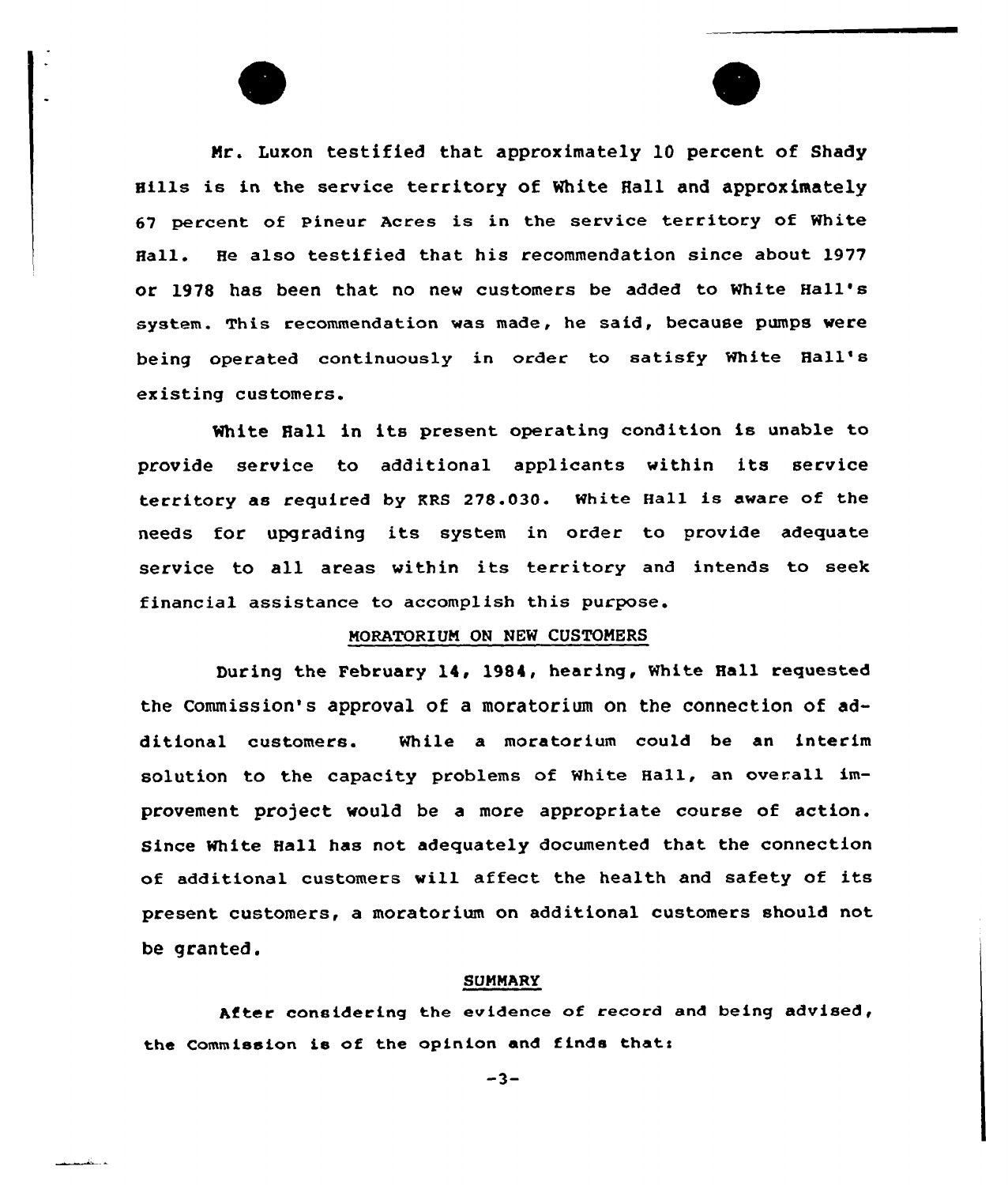Mr. Luxon testified that approximately 10 percent of Shady Hills is in the service territory of white Hall and approximately 67 percent of Pineur Acres is in the service territory of White Hall. He also testified that his recommendation since about l977 or 1978 has been that no new customers be added to White Hall' system. This recommendation was made, he said, because pumps were being operated continuously in order to satisfy White Hall' existing customers.

White Hall in its present operating condition is unable to provide service to additional applicants within its service territory as required by KRS 278.030. White Hall is aware of the needs for upgrading its system in order to provide adequate service to all areas within its territory and intends to seek financial assistance to accomplish this purpose.

# MORATORIUM ON NEW CUSTOMERS

During the February 14, 1984, hearing, White Hall requested the Commission's approval of a moratorium on the connection of additional customers. While a moratorium could be an interim solution to the capacity problems of White Hali, an overall improvement project would be a more appropriate course of action. Since White Hall has not adequately documented that the connection of additional customers will affect the health and safety of its present customers, a moratorium on additional customers should not be granted.

# SUMMARy

After considering the evidence of record and being advised, the Commission is of the opinion and finds thats

 $-3-$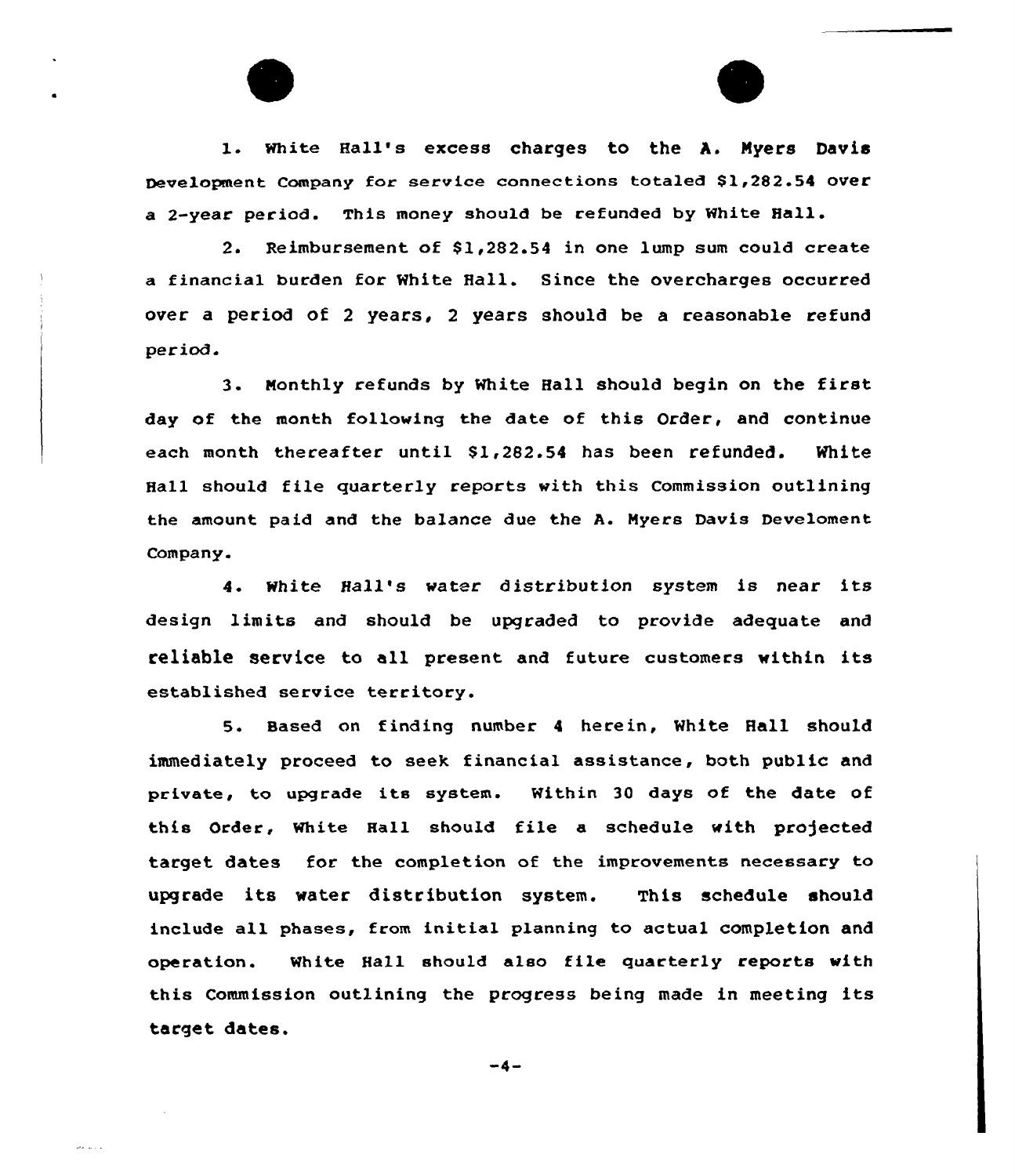l. White Hall's excess charges to the A. Nyers Davis Development Company for service connections totaled \$1,282.54 over a 2-year period. This money should be refunded by White Hell.

2. Reimbursement of \$1,282.54 in one lump sum could create a financial burden for White Hall. Since the overcharges occurred over a period of <sup>2</sup> years, <sup>2</sup> years should be a reasonable refund period.

3. Monthly refunds by White Hall should begin on the first day of the month following the date of this Order, and continue each month thereafter until \$1,282.54 has been refunded. White Hall should file quarterly reports with this Commission outlining the amount paid and the balance due the A. Myers Davis Develoment Company.

4. White Hall's water distribution system is near its design limits and should be upgraded to provide adequate and reliable service to all present and future customers within its established service territory.

5. Based on finding number <sup>4</sup> herein, White Hall should immediately proceed to seek financial assistance, both public and private, to upgrade its system. Within <sup>30</sup> days of the date of this Order, White Hall should file a schedule with projected target dates for the completion of the improvements necessary to upgrade its water distribution system. This schedule should include all phases, from initial planning to actual completion and operation. White Hall should also file quarterly reports with this Commission outlining the progress being made in meeting its target dates.

 $-4-$ 

and and a